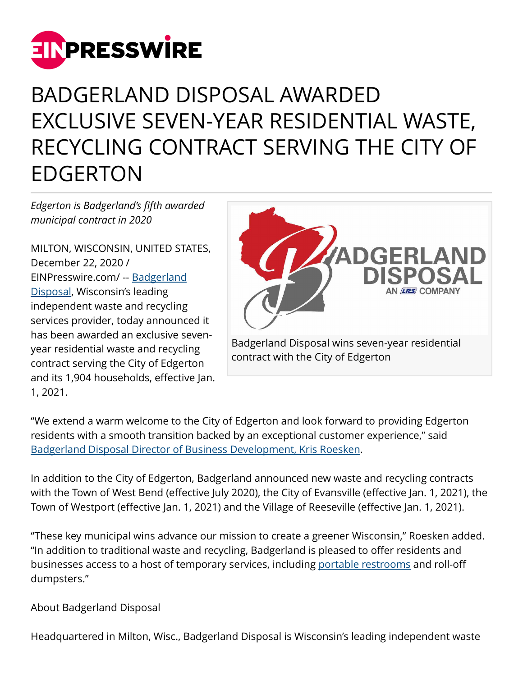

## BADGERLAND DISPOSAL AWARDED EXCLUSIVE SEVEN-YEAR RESIDENTIAL WASTE, RECYCLING CONTRACT SERVING THE CITY OF EDGERTON

*Edgerton is Badgerland's fifth awarded municipal contract in 2020*

MILTON, WISCONSIN, UNITED STATES, December 22, 2020 / [EINPresswire.com](http://www.einpresswire.com)/ -- [Badgerland](https://www.badgerlanddisposal.com/) [Disposal,](https://www.badgerlanddisposal.com/) Wisconsin's leading independent waste and recycling services provider, today announced it has been awarded an exclusive sevenyear residential waste and recycling contract serving the City of Edgerton and its 1,904 households, effective Jan. 1, 2021.



"We extend a warm welcome to the City of Edgerton and look forward to providing Edgerton residents with a smooth transition backed by an exceptional customer experience," said [Badgerland Disposal Director of Business Development, Kris Roesken.](https://www.badgerlanddisposal.com/team/)

In addition to the City of Edgerton, Badgerland announced new waste and recycling contracts with the Town of West Bend (effective July 2020), the City of Evansville (effective Jan. 1, 2021), the Town of Westport (effective Jan. 1, 2021) and the Village of Reeseville (effective Jan. 1, 2021).

"These key municipal wins advance our mission to create a greener Wisconsin," Roesken added. "In addition to traditional waste and recycling, Badgerland is pleased to offer residents and businesses access to a host of temporary services, including [portable restrooms](https://www.badgerlanddisposal.com/porta-potty/) and roll-off dumpsters."

About Badgerland Disposal

Headquartered in Milton, Wisc., Badgerland Disposal is Wisconsin's leading independent waste